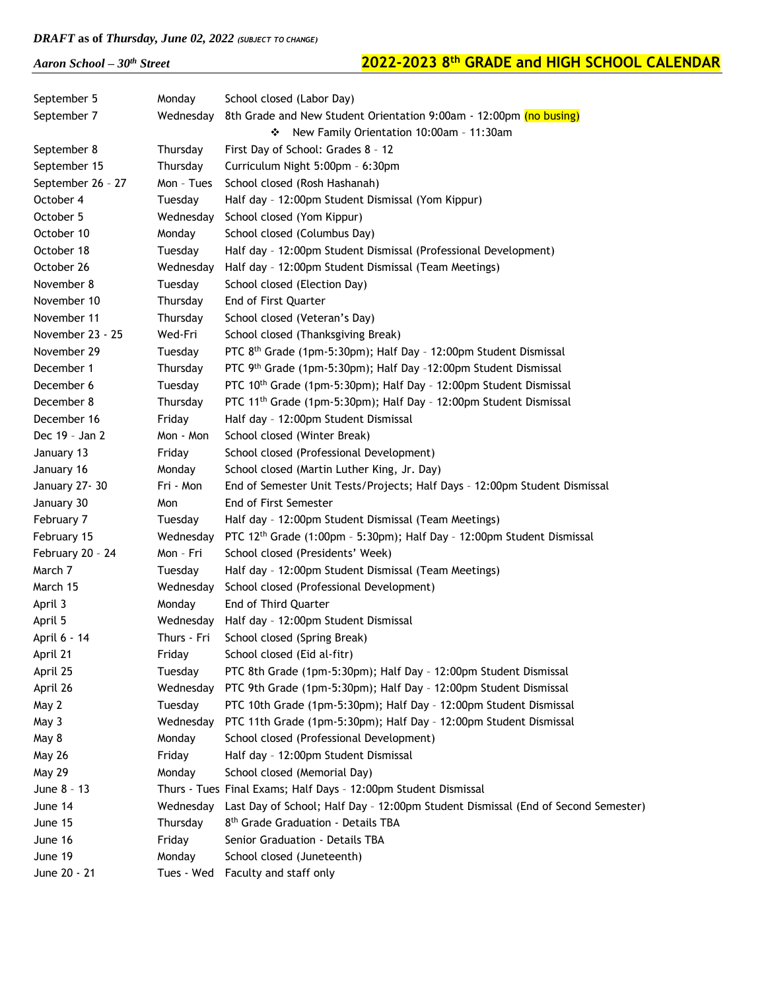*Aaron School – 30th Street* **2022-2023 8**

| September 5       | Monday      | School closed (Labor Day)                                                         |
|-------------------|-------------|-----------------------------------------------------------------------------------|
| September 7       | Wednesday   | 8th Grade and New Student Orientation 9:00am - 12:00pm (no busing)                |
|                   |             | New Family Orientation 10:00am - 11:30am<br>❖                                     |
| September 8       | Thursday    | First Day of School: Grades 8 - 12                                                |
| September 15      | Thursday    | Curriculum Night 5:00pm - 6:30pm                                                  |
| September 26 - 27 | Mon - Tues  | School closed (Rosh Hashanah)                                                     |
| October 4         | Tuesday     | Half day - 12:00pm Student Dismissal (Yom Kippur)                                 |
| October 5         | Wednesday   | School closed (Yom Kippur)                                                        |
| October 10        | Monday      | School closed (Columbus Day)                                                      |
| October 18        | Tuesday     | Half day - 12:00pm Student Dismissal (Professional Development)                   |
| October 26        | Wednesday   | Half day - 12:00pm Student Dismissal (Team Meetings)                              |
| November 8        | Tuesday     | School closed (Election Day)                                                      |
| November 10       | Thursday    | End of First Quarter                                                              |
| November 11       | Thursday    | School closed (Veteran's Day)                                                     |
| November 23 - 25  | Wed-Fri     | School closed (Thanksgiving Break)                                                |
| November 29       | Tuesday     | PTC 8 <sup>th</sup> Grade (1pm-5:30pm); Half Day - 12:00pm Student Dismissal      |
| December 1        | Thursday    | PTC 9th Grade (1pm-5:30pm); Half Day -12:00pm Student Dismissal                   |
| December 6        | Tuesday     | PTC 10 <sup>th</sup> Grade (1pm-5:30pm); Half Day - 12:00pm Student Dismissal     |
| December 8        | Thursday    | PTC 11 <sup>th</sup> Grade (1pm-5:30pm); Half Day - 12:00pm Student Dismissal     |
| December 16       | Friday      | Half day - 12:00pm Student Dismissal                                              |
| Dec 19 - Jan 2    | Mon - Mon   | School closed (Winter Break)                                                      |
| January 13        | Friday      | School closed (Professional Development)                                          |
| January 16        | Monday      | School closed (Martin Luther King, Jr. Day)                                       |
| January 27-30     | Fri - Mon   | End of Semester Unit Tests/Projects; Half Days - 12:00pm Student Dismissal        |
| January 30        | Mon         | End of First Semester                                                             |
| February 7        | Tuesday     | Half day - 12:00pm Student Dismissal (Team Meetings)                              |
| February 15       | Wednesday   | PTC 12th Grade (1:00pm - 5:30pm); Half Day - 12:00pm Student Dismissal            |
| February 20 - 24  | Mon - Fri   | School closed (Presidents' Week)                                                  |
| March 7           | Tuesday     | Half day - 12:00pm Student Dismissal (Team Meetings)                              |
| March 15          | Wednesday   | School closed (Professional Development)                                          |
| April 3           | Monday      | <b>End of Third Ouarter</b>                                                       |
| April 5           | Wednesday   | Half day - 12:00pm Student Dismissal                                              |
| April 6 - 14      | Thurs - Fri | School closed (Spring Break)                                                      |
| April 21          | Friday      | School closed (Eid al-fitr)                                                       |
| April 25          | Tuesday     | PTC 8th Grade (1pm-5:30pm); Half Day - 12:00pm Student Dismissal                  |
| April 26          | Wednesday   | PTC 9th Grade (1pm-5:30pm); Half Day - 12:00pm Student Dismissal                  |
| May 2             | Tuesday     | PTC 10th Grade (1pm-5:30pm); Half Day - 12:00pm Student Dismissal                 |
| May 3             | Wednesday   | PTC 11th Grade (1pm-5:30pm); Half Day - 12:00pm Student Dismissal                 |
| May 8             | Monday      | School closed (Professional Development)                                          |
| <b>May 26</b>     | Friday      | Half day - 12:00pm Student Dismissal                                              |
| <b>May 29</b>     | Monday      | School closed (Memorial Day)                                                      |
| June 8 - 13       |             | Thurs - Tues Final Exams; Half Days - 12:00pm Student Dismissal                   |
| June 14           | Wednesday   | Last Day of School; Half Day - 12:00pm Student Dismissal (End of Second Semester) |
| June 15           | Thursday    | 8 <sup>th</sup> Grade Graduation - Details TBA                                    |
| June 16           | Friday      | Senior Graduation - Details TBA                                                   |
| June 19           | Monday      | School closed (Juneteenth)                                                        |
| June 20 - 21      | Tues - Wed  | Faculty and staff only                                                            |